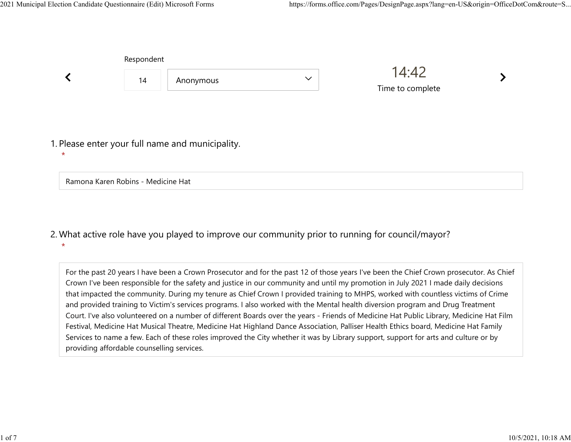|                                                             | Respondent |           |              |                           |  |
|-------------------------------------------------------------|------------|-----------|--------------|---------------------------|--|
|                                                             | 14         | Anonymous | $\checkmark$ | 14:42<br>Time to complete |  |
|                                                             |            |           |              |                           |  |
| 1. Please enter your full name and municipality.<br>$\star$ |            |           |              |                           |  |
| Ramona Karen Robins - Medicine Hat                          |            |           |              |                           |  |

## What active role have you played to improve our community prior to running for council/mayor? 2. \*

For the past 20 years I have been a Crown Prosecutor and for the past 12 of those years I've been the Chief Crown prosecutor. As Chief Crown I've been responsible for the safety and justice in our community and until my promotion in July 2021 I made daily decisions that impacted the community. During my tenure as Chief Crown I provided training to MHPS, worked with countless victims of Crime and provided training to Victim's services programs. I also worked with the Mental health diversion program and Drug Treatment Court. I've also volunteered on a number of different Boards over the years - Friends of Medicine Hat Public Library, Medicine Hat Film Festival, Medicine Hat Musical Theatre, Medicine Hat Highland Dance Association, Palliser Health Ethics board, Medicine Hat Family Services to name a few. Each of these roles improved the City whether it was by Library support, support for arts and culture or by providing affordable counselling services.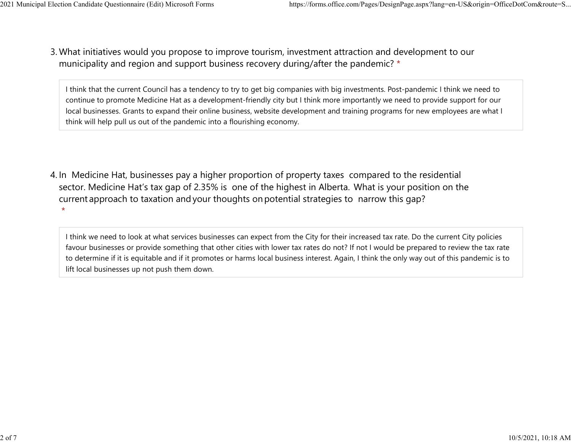What initiatives would you propose to improve tourism, investment attraction and development to our 3. municipality and region and support business recovery during/after the pandemic? \* 2021 Municipal Election Candidate Questionnaire (Edit) Microsoft Forms https://forms.office.com/Pages/DesignPage.aspx?lang=en-US&origin=OfficeDotCom&route=S...<br>2 Mhat initiatives would you propose to improve tourism invest

> I think that the current Council has a tendency to try to get big companies with big investments. Post-pandemic I think we need to continue to promote Medicine Hat as a development-friendly city but I think more importantly we need to provide support for our local businesses. Grants to expand their online business, website development and training programs for new employees are what I think will help pull us out of the pandemic into a flourishing economy.

4. In Medicine Hat, businesses pay a higher proportion of property taxes compared to the residential sector.  Medicine Hat's tax gap of 2.35% is one of the highest in Alberta.  What is your position on the current approach to taxation and your thoughts on potential strategies to narrow this gap?  $\star$ 

I think we need to look at what services businesses can expect from the City for their increased tax rate. Do the current City policies favour businesses or provide something that other cities with lower tax rates do not? If not I would be prepared to review the tax rate to determine if it is equitable and if it promotes or harms local business interest. Again, I think the only way out of this pandemic is to lift local businesses up not push them down.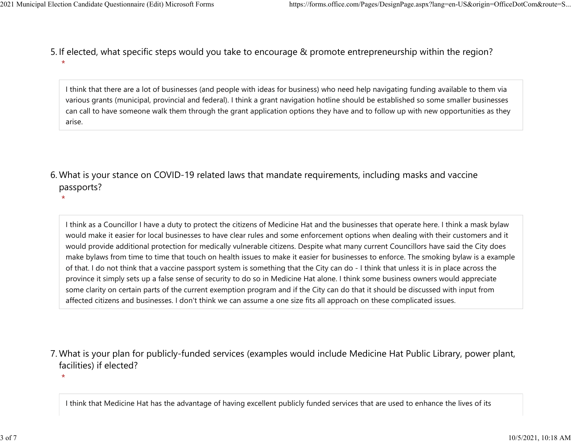$\star$ 

5. If elected, what specific steps would you take to encourage & promote entrepreneurship within the region?  $\star$ 2021 Municipal Election Candidate Questionnaire (Edit) Microsoft Forms https://forms.office.com/Pages/DesignPage.aspx?lang=en-US&origin=OfficeDotCom&route=S...<br>5. If elected what specific steps would you take to encourage

> I think that there are a lot of businesses (and people with ideas for business) who need help navigating funding available to them via various grants (municipal, provincial and federal). I think a grant navigation hotline should be established so some smaller businesses can call to have someone walk them through the grant application options they have and to follow up with new opportunities as they arise.

What is your stance on COVID-19 related laws that mandate requirements, including masks and vaccine 6. passports?

I think as a Councillor I have a duty to protect the citizens of Medicine Hat and the businesses that operate here. I think a mask bylaw would make it easier for local businesses to have clear rules and some enforcement options when dealing with their customers and it would provide additional protection for medically vulnerable citizens. Despite what many current Councillors have said the City does make bylaws from time to time that touch on health issues to make it easier for businesses to enforce. The smoking bylaw is a example of that. I do not think that a vaccine passport system is something that the City can do - I think that unless it is in place across the province it simply sets up a false sense of security to do so in Medicine Hat alone. I think some business owners would appreciate some clarity on certain parts of the current exemption program and if the City can do that it should be discussed with input from affected citizens and businesses. I don't think we can assume a one size fits all approach on these complicated issues.

- What is your plan for publicly-funded services (examples would include Medicine Hat Public Library, power plant, 7. facilities) if elected?
	- $\star$

I think that Medicine Hat has the advantage of having excellent publicly funded services that are used to enhance the lives of its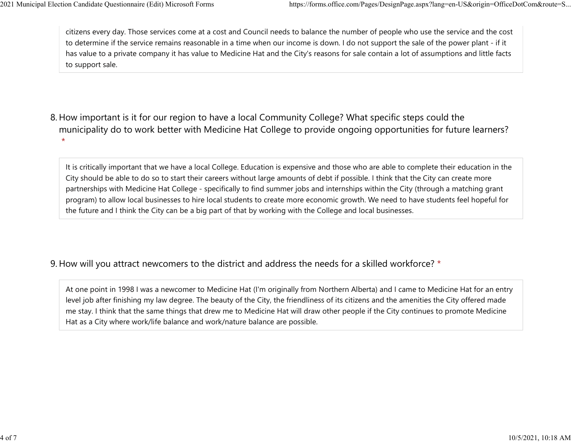citizens every day. Those services come at a cost and Council needs to balance the number of people who use the service and the cost to determine if the service remains reasonable in a time when our income is down. I do not support the sale of the power plant - if it has value to a private company it has value to Medicine Hat and the City's reasons for sale contain a lot of assumptions and little facts to support sale. 2021 Municipal Election Candidate Questionnaire (Edit) Microsoft Forms https://forms.office.com/Pages/DesignPage.aspx?lang=en-US&origin=OfficeDotCom&route=S...<br>
citizens every day. Those services come at a cost and Council

8. How important is it for our region to have a local Community College? What specific steps could the municipality do to work better with Medicine Hat College to provide ongoing opportunities for future learners?  $\star$ 

It is critically important that we have a local College. Education is expensive and those who are able to complete their education in the City should be able to do so to start their careers without large amounts of debt if possible. I think that the City can create more partnerships with Medicine Hat College - specifically to find summer jobs and internships within the City (through a matching grant program) to allow local businesses to hire local students to create more economic growth. We need to have students feel hopeful for the future and I think the City can be a big part of that by working with the College and local businesses.

9. How will you attract newcomers to the district and address the needs for a skilled workforce? \*

At one point in 1998 I was a newcomer to Medicine Hat (I'm originally from Northern Alberta) and I came to Medicine Hat for an entry level job after finishing my law degree. The beauty of the City, the friendliness of its citizens and the amenities the City offered made me stay. I think that the same things that drew me to Medicine Hat will draw other people if the City continues to promote Medicine Hat as a City where work/life balance and work/nature balance are possible.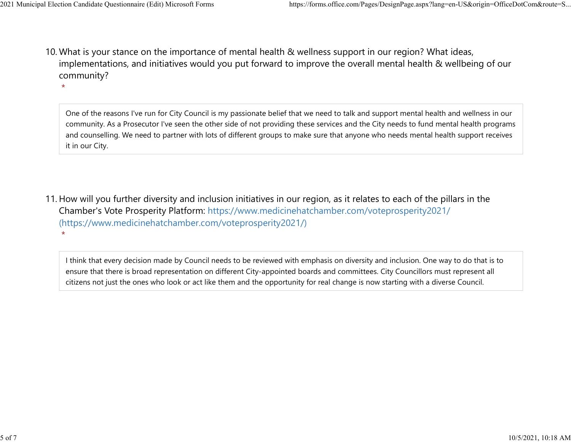$\star$ 

10. What is your stance on the importance of mental health & wellness support in our region? What ideas, implementations, and initiatives would you put forward to improve the overall mental health & wellbeing of our community? 2021 Municipal Election Candidate Questionnaire (Edit) Microsoft Forms https://forms.office.com/Pages/DesignPage.aspx?lang=en-US&origin=OfficeDotCom&route=S...<br>10 What is vour stance on the importance of mental bealth & we

> One of the reasons I've run for City Council is my passionate belief that we need to talk and support mental health and wellness in our community. As a Prosecutor I've seen the other side of not providing these services and the City needs to fund mental health programs and counselling. We need to partner with lots of different groups to make sure that anyone who needs mental health support receives it in our City.

11. How will you further diversity and inclusion initiatives in our region, as it relates to each of the pillars in the Chamber's Vote Prosperity Platform: https://www.medicinehatchamber.com/voteprosperity2021/ (https://www.medicinehatchamber.com/voteprosperity2021/)  $\star$ 

I think that every decision made by Council needs to be reviewed with emphasis on diversity and inclusion. One way to do that is to ensure that there is broad representation on different City-appointed boards and committees. City Councillors must represent all citizens not just the ones who look or act like them and the opportunity for real change is now starting with a diverse Council.